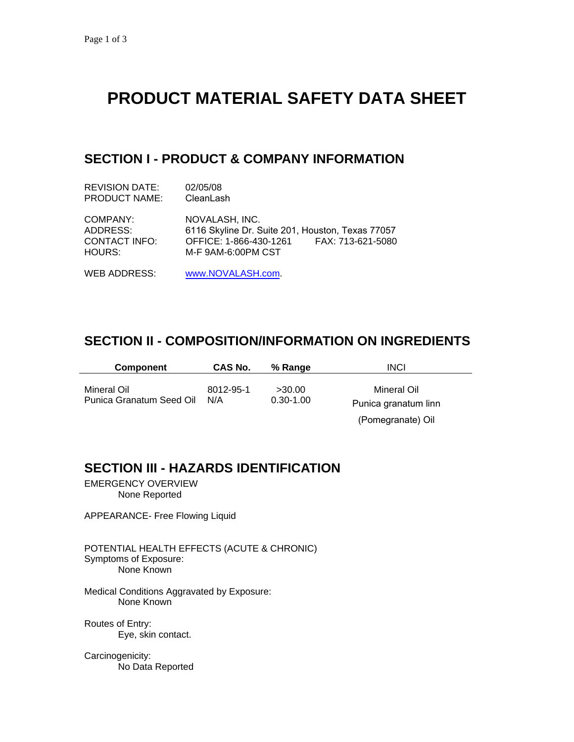# **PRODUCT MATERIAL SAFETY DATA SHEET**

## **SECTION I - PRODUCT & COMPANY INFORMATION**

| REVISION DATE:                                  | 02/05/08                                                                                                                                |
|-------------------------------------------------|-----------------------------------------------------------------------------------------------------------------------------------------|
| <b>PRODUCT NAME:</b>                            | CleanLash                                                                                                                               |
| COMPANY:<br>ADDRESS:<br>CONTACT INFO:<br>HOURS: | NOVALASH. INC.<br>6116 Skyline Dr. Suite 201, Houston, Texas 77057<br>OFFICE: 1-866-430-1261<br>FAX: 713-621-5080<br>M-F 9AM-6:00PM CST |

## WEB ADDRESS: [www.NOVALASH.com.](http://www.novalash.com/)

#### **SECTION II - COMPOSITION/INFORMATION ON INGREDIENTS**

| <b>Component</b>                        | CAS No.          | % Range                 | <b>INCI</b>                         |
|-----------------------------------------|------------------|-------------------------|-------------------------------------|
| Mineral Oil<br>Punica Granatum Seed Oil | 8012-95-1<br>N/A | >30.00<br>$0.30 - 1.00$ | Mineral Oil<br>Punica granatum linn |
|                                         |                  |                         | (Pomegranate) Oil                   |

#### **SECTION III - HAZARDS IDENTIFICATION**

EMERGENCY OVERVIEW None Reported

APPEARANCE- Free Flowing Liquid

POTENTIAL HEALTH EFFECTS (ACUTE & CHRONIC) Symptoms of Exposure: None Known

Medical Conditions Aggravated by Exposure: None Known

Routes of Entry: Eye, skin contact.

Carcinogenicity: No Data Reported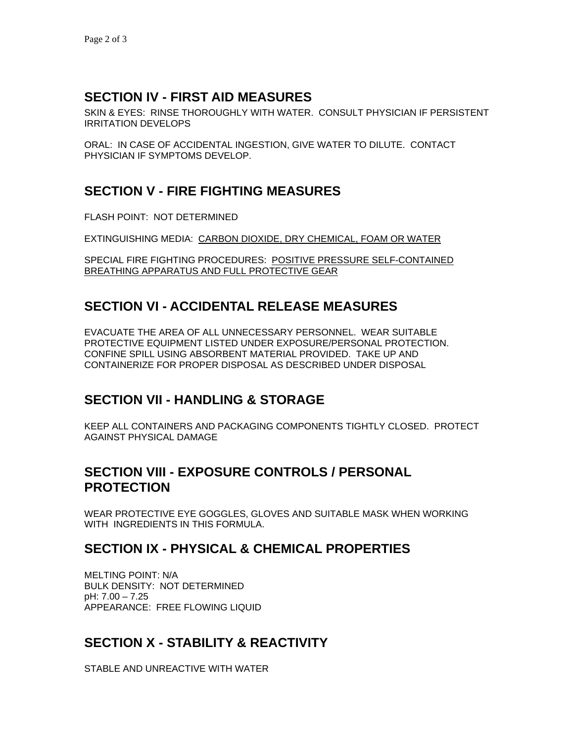## **SECTION IV - FIRST AID MEASURES**

SKIN & EYES: RINSE THOROUGHLY WITH WATER. CONSULT PHYSICIAN IF PERSISTENT IRRITATION DEVELOPS

ORAL: IN CASE OF ACCIDENTAL INGESTION, GIVE WATER TO DILUTE. CONTACT PHYSICIAN IF SYMPTOMS DEVELOP.

## **SECTION V - FIRE FIGHTING MEASURES**

FLASH POINT: NOT DETERMINED

EXTINGUISHING MEDIA: CARBON DIOXIDE, DRY CHEMICAL, FOAM OR WATER

SPECIAL FIRE FIGHTING PROCEDURES: POSITIVE PRESSURE SELF-CONTAINED BREATHING APPARATUS AND FULL PROTECTIVE GEAR

## **SECTION VI - ACCIDENTAL RELEASE MEASURES**

EVACUATE THE AREA OF ALL UNNECESSARY PERSONNEL. WEAR SUITABLE PROTECTIVE EQUIPMENT LISTED UNDER EXPOSURE/PERSONAL PROTECTION. CONFINE SPILL USING ABSORBENT MATERIAL PROVIDED. TAKE UP AND CONTAINERIZE FOR PROPER DISPOSAL AS DESCRIBED UNDER DISPOSAL

## **SECTION VII - HANDLING & STORAGE**

KEEP ALL CONTAINERS AND PACKAGING COMPONENTS TIGHTLY CLOSED. PROTECT AGAINST PHYSICAL DAMAGE

#### **SECTION VIII - EXPOSURE CONTROLS / PERSONAL PROTECTION**

WEAR PROTECTIVE EYE GOGGLES, GLOVES AND SUITABLE MASK WHEN WORKING WITH INGREDIENTS IN THIS FORMULA.

#### **SECTION IX - PHYSICAL & CHEMICAL PROPERTIES**

MELTING POINT: N/A BULK DENSITY: NOT DETERMINED pH: 7.00 – 7.25 APPEARANCE: FREE FLOWING LIQUID

## **SECTION X - STABILITY & REACTIVITY**

STABLE AND UNREACTIVE WITH WATER